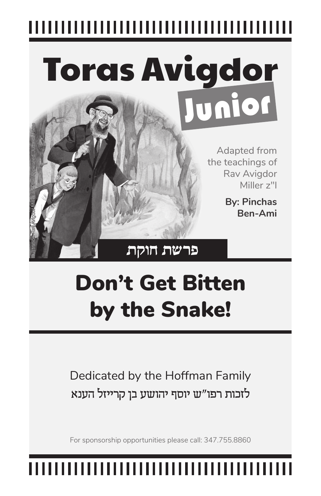# Toras Avigdor Junior Illustration: Rav Avigdor Miller and the Appleseed, Judaica Press

Adapted from the teachings of Rav Avigdor Miller z"l

> **By: Pinchas Ben-Ami**

#### **פרשת חוקת**

## Don't Get Bitten by the Snake!

Dedicated by the Hoffman Family לזכות רפו"ש יוסף יהושע בן קרייזל הענא

For sponsorship opportunities please call: 347.755.8860

## ,,,,,,,,,,,,,,,,,,,,,,,,,,,,,,,,,,,,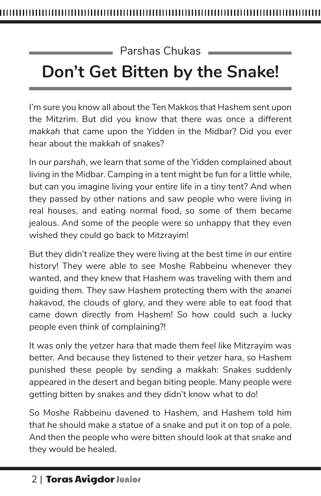#### Parshas Chukas

### **Don't Get Bitten by the Snake!**

I'm sure you know all about the Ten Makkos that Hashem sent upon the Mitzrim. But did you know that there was once a different *makkah* that came upon the Yidden in the Midbar? Did you ever hear about the *makkah* of snakes?

In our *parshah*, we learn that some of the Yidden complained about living in the Midbar. Camping in a tent might be fun for a little while, but can you imagine living your entire life in a tiny tent? And when they passed by other nations and saw people who were living in real houses, and eating normal food, so some of them became jealous. And some of the people were so unhappy that they even wished they could go back to Mitzrayim!

But they didn't realize they were living at the best time in our entire history! They were able to see Moshe Rabbeinu whenever they wanted, and they knew that Hashem was traveling with them and guiding them. They saw Hashem protecting them with the *ananei hakavod*, the clouds of glory, and they were able to eat food that came down directly from Hashem! So how could such a lucky people even *think* of complaining?!

It was only the *yetzer hara* that made them feel like Mitzrayim was better. And because they listened to their *yetzer hara*, so Hashem punished these people by sending a *makkah*: Snakes suddenly appeared in the desert and began biting people. Many people were getting bitten by snakes and they didn't know what to do!

So Moshe Rabbeinu davened to Hashem, and Hashem told him that he should make a statue of a snake and put it on top of a pole. And then the people who were bitten should look at that snake and they would be healed.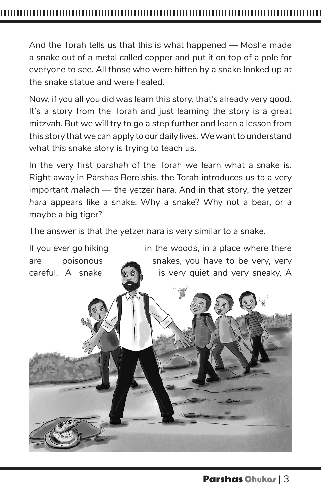And the Torah tells us that this is what happened — Moshe made a snake out of a metal called copper and put it on top of a pole for everyone to see. All those who were bitten by a snake looked up at the snake statue and were healed.

Now, if you all you did was learn this story, that's already very good. It's a story from the Torah and just learning the story is a great mitzvah. But we will try to go a step further and learn a lesson from this story that we can apply to our daily lives. We want to understand what this snake story is trying to teach us.

In the very first *parshah* of the Torah we learn what a snake is. Right away in Parshas Bereishis, the Torah introduces us to a very important *malach* — the *yetzer hara.* And in that story, the *yetzer hara* appears like a snake. Why a snake? Why not a bear, or a maybe a big tiger?

The answer is that the *yetzer hara* is very similar to a snake.